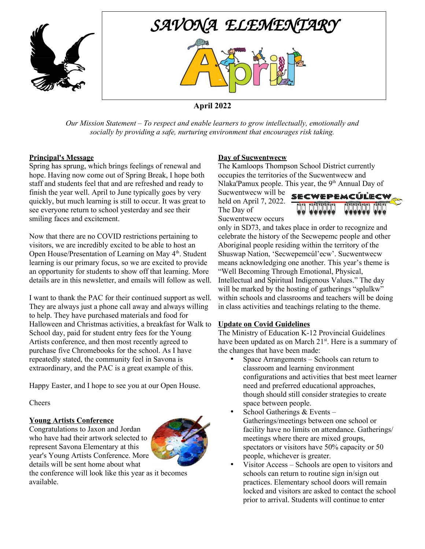



# **April 2022**

*Our Mission Statement – To respect and enable learners to grow intellectually, emotionally and socially by providing a safe, nurturing environment that encourages risk taking.*

#### **Principal's Message**

Spring has sprung, which brings feelings of renewal and hope. Having now come out of Spring Break, I hope both staff and students feel that and are refreshed and ready to finish the year well. April to June typically goes by very quickly, but much learning is still to occur. It was great to see everyone return to school yesterday and see their smiling faces and excitement.

Now that there are no COVID restrictions pertaining to visitors, we are incredibly excited to be able to host an Open House/Presentation of Learning on May 4<sup>th</sup>. Student learning is our primary focus, so we are excited to provide an opportunity for students to show off that learning. More details are in this newsletter, and emails will follow as well.

I want to thank the PAC for their continued support as well. They are always just a phone call away and always willing to help. They have purchased materials and food for Halloween and Christmas activities, a breakfast for Walk to School day, paid for student entry fees for the Young Artists conference, and then most recently agreed to purchase five Chromebooks for the school. As I have repeatedly stated, the community feel in Savona is extraordinary, and the PAC is a great example of this.

Happy Easter, and I hope to see you at our Open House.

Cheers

### **Young Artists Conference**

Congratulations to Jaxon and Jordan who have had their artwork selected to represent Savona Elementary at this year's Young Artists Conference. More details will be sent home about what



the conference will look like this year as it becomes available.

#### **Day of Sucwentwecw**

The Kamloops Thompson School District currently occupies the territories of the Sucwentwecw and Nlaka'Pamux people. This year, the  $9<sup>th</sup>$  Annual Day of

Sucwentwecw will be held on April 7, 2022. The Day of Sucwentwecw occurs



only in SD73, and takes place in order to recognize and celebrate the history of the Secwepemc people and other Aboriginal people residing within the territory of the Shuswap Nation, 'Secwepemcúl'ecw'. Sucwentwecw means acknowledging one another. This year's theme is "Well Becoming Through Emotional, Physical, Intellectual and Spiritual Indigenous Values." The day will be marked by the hosting of gatherings "splulkw" within schools and classrooms and teachers will be doing in class activities and teachings relating to the theme.

### **Update on Covid Guidelines**

The Ministry of Education K-12 Provincial Guidelines have been updated as on March 21<sup>st</sup>. Here is a summary of the changes that have been made:

- Space Arrangements Schools can return to classroom and learning environment configurations and activities that best meet learner need and preferred educational approaches, though should still consider strategies to create space between people.
- School Gatherings & Events -Gatherings/meetings between one school or facility have no limits on attendance. Gatherings/ meetings where there are mixed groups, spectators or visitors have 50% capacity or 50 people, whichever is greater.
- Visitor Access Schools are open to visitors and schools can return to routine sign in/sign out practices. Elementary school doors will remain locked and visitors are asked to contact the school prior to arrival. Students will continue to enter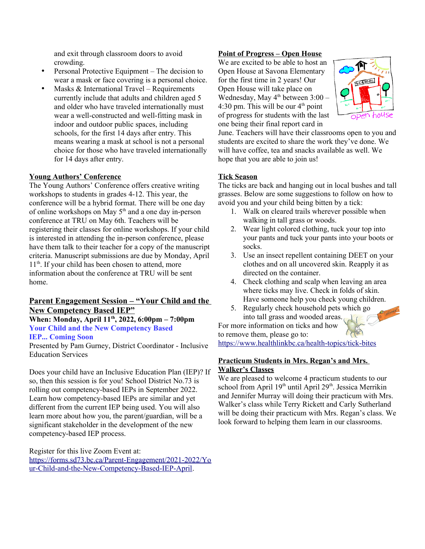and exit through classroom doors to avoid crowding.

- Personal Protective Equipment The decision to wear a mask or face covering is a personal choice.
- Masks & International Travel Requirements currently include that adults and children aged 5 and older who have traveled internationally must wear a well-constructed and well-fitting mask in indoor and outdoor public spaces, including schools, for the first 14 days after entry. This means wearing a mask at school is not a personal choice for those who have traveled internationally for 14 days after entry.

#### **Young Authors' Conference**

The Young Authors' Conference offers creative writing workshops to students in grades 4-12. This year, the conference will be a hybrid format. There will be one day of online workshops on May  $5<sup>th</sup>$  and a one day in-person conference at TRU on May 6th. Teachers will be registering their classes for online workshops. If your child is interested in attending the in-person conference, please have them talk to their teacher for a copy of the manuscript criteria. Manuscript submissions are due by Monday, April  $11<sup>th</sup>$ . If your child has been chosen to attend, more information about the conference at TRU will be sent home.

### <u> Parent Engagement Session – "Your Child and the</u> **New Competency Based IEP"**

**When: Monday, April 11th, 2022, 6:00pm – 7:00pm Your Child and the New Competency Based IEP... Coming Soon**

Presented by Pam Gurney, District Coordinator - Inclusive Education Services

Does your child have an Inclusive Education Plan (IEP)? If so, then this session is for you! School District No.73 is rolling out competency-based IEPs in September 2022. Learn how competency-based IEPs are similar and yet different from the current IEP being used. You will also learn more about how you, the parent/guardian, will be a significant stakeholder in the development of the new competency-based IEP process.

Register for this live Zoom Event at:

[https://forms.sd73.bc.ca/Parent-Engagement/2021-2022/Yo](https://forms.sd73.bc.ca/Parent-Engagement/2021-2022/Your-Child-and-the-New-Competency-Based-IEP-April) [ur-Child-and-the-New-Competency-Based-IEP-April](https://forms.sd73.bc.ca/Parent-Engagement/2021-2022/Your-Child-and-the-New-Competency-Based-IEP-April).

### **Point of Progress – Open House**

We are excited to be able to host an Open House at Savona Elementary for the first time in 2 years! Our Open House will take place on Wednesday, May  $4<sup>th</sup>$  between 3:00 – 4:30 pm. This will be our  $4<sup>th</sup>$  point of progress for students with the last one being their final report card in



June. Teachers will have their classrooms open to you and students are excited to share the work they've done. We will have coffee, tea and snacks available as well. We hope that you are able to join us!

#### **Tick Season**

The ticks are back and hanging out in local bushes and tall grasses. Below are some suggestions to follow on how to avoid you and your child being bitten by a tick:

- 1. Walk on cleared trails wherever possible when walking in tall grass or woods.
- 2. Wear light colored clothing, tuck your top into your pants and tuck your pants into your boots or socks.
- 3. Use an insect repellent containing DEET on your clothes and on all uncovered skin. Reapply it as directed on the container.
- 4. Check clothing and scalp when leaving an area where ticks may live. Check in folds of skin. Have someone help you check young children.
- 5. Regularly check household pets which go into tall grass and wooded areas.

For more information on ticks and how to remove them, please go to:

<https://www.healthlinkbc.ca/health-topics/tick-bites>

#### **Practicum Students in Mrs. Regan's and Mrs. Walker's Classes**

We are pleased to welcome 4 practicum students to our school from April 19<sup>th</sup> until April 29<sup>th</sup>. Jessica Merrikin and Jennifer Murray will doing their practicum with Mrs. Walker's class while Terry Rickett and Carly Sutherland will be doing their practicum with Mrs. Regan's class. We look forward to helping them learn in our classrooms.